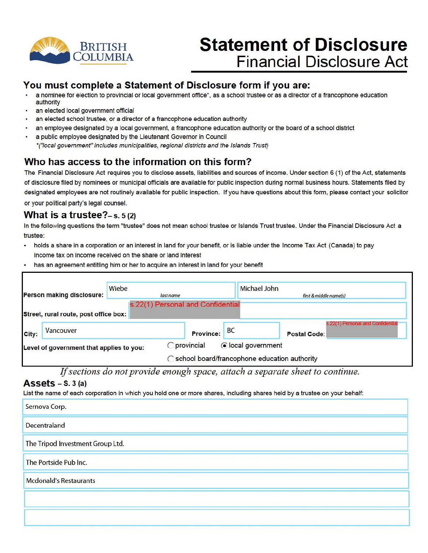

# **Statement of Disclosure Financial Disclosure Act**

### **You must complete a Statement of Disclosure form if you are:**

- a nominee for election to provincial or local government office\*, as a school trustee or as a director of a francophone education authority
- an elected local government official
- an elected school trustee, or a director of a francophone education authority
- an employee designated by a local government, a francophone education authority or the board of a school district
- a public employee designated by the Lieutenant Governor in Council •("local government" includes municipalities, regional districts and the Islands Trust)

## **Who has access to the information on this form?**

The Financial Disclosure Act requires you to disclose assets, liabilities and sources of income. Under section 6 (1) of the Act, statements of disclosure filed by nominees or municipal officials are available for public inspection during normal business hours. Statements filed by designated employees are not routinely available for public inspection. If you have questions about this form, please contact your solicitor or your political party's legal counsel.

#### **What is a trustee?-**s. s (2)

In the following questions the term "trustee" does not mean school trustee or Islands Trust trustee. Under the Financial Disclosure Act a trustee:

- holds a share in a corporation or an interest in land for your benefit, or is liable under the Income Tax Act (Canada) to pay income tax on income received on the share or land interest
- has an agreement entitling him or her to acquire an interest in land for your benefit

| Wiebe<br>Person making disclosure:       |  | last name                         | <b>Michael John</b> | first & middle name(s)                                   |  |
|------------------------------------------|--|-----------------------------------|---------------------|----------------------------------------------------------|--|
| Street, rural route, post office box:    |  | s.22(1) Personal and Confidential |                     |                                                          |  |
| Vancouver<br>City:                       |  | <b>Province:</b>                  | <b>BC</b>           | s.22(1) Personal and Confidential<br><b>Postal Code:</b> |  |
| Level of government that applies to you: |  | provincial                        | ⊙ local government  | School board/francophone education authority             |  |

*If sections do not provide enough space, attach a separate sheet to continue.* 

#### **Assets** - s. 3 (a)

List the name of each corporation in which you hold one or more shares, including shares held by a trustee on your behalf:

| Sernova Corp.                    |
|----------------------------------|
| <b>Decentraland</b>              |
| The Tripod Investment Group Ltd. |
| The Portside Pub Inc.            |
| <b>Mcdonald's Restaurants</b>    |
|                                  |
|                                  |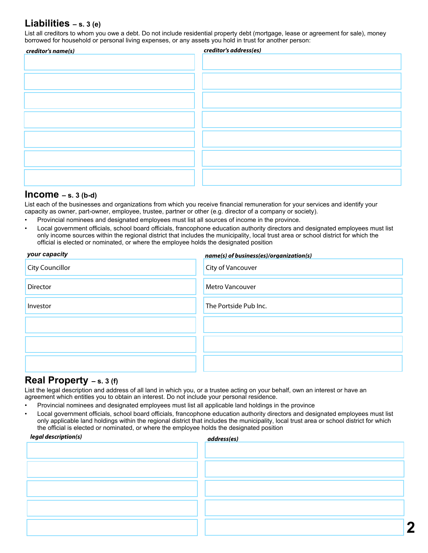### **Liabilities – s. 3 (e)**

List all creditors to whom you owe a debt. Do not include residential property debt (mortgage, lease or agreement for sale), money borrowed for household or personal living expenses, or any assets you hold in trust for another person:

| creditor's name(s) | creditor's address(es) |
|--------------------|------------------------|
|                    |                        |
|                    |                        |
|                    |                        |
|                    |                        |
|                    |                        |
|                    |                        |
|                    |                        |
|                    |                        |
|                    |                        |
|                    |                        |
|                    |                        |
|                    |                        |
|                    |                        |
|                    |                        |
|                    |                        |
|                    |                        |

#### **Income – s. 3 (b-d)**

List each of the businesses and organizations from which you receive financial remuneration for your services and identify your capacity as owner, part-owner, employee, trustee, partner or other (e.g. director of a company or society).

- Provincial nominees and designated employees must list all sources of income in the province.
- Local government officials, school board officials, francophone education authority directors and designated employees must list only income sources within the regional district that includes the municipality, local trust area or school district for which the official is elected or nominated, or where the employee holds the designated position

| your capacity          | name(s) of business(es)/organization(s) |
|------------------------|-----------------------------------------|
| <b>City Councillor</b> | <b>City of Vancouver</b>                |
| <b>Director</b>        | <b>Metro Vancouver</b>                  |
| Investor               | The Portside Pub Inc.                   |
|                        |                                         |
|                        |                                         |
|                        |                                         |

#### **Real Property – s. 3 (f)**

List the legal description and address of all land in which you, or a trustee acting on your behalf, own an interest or have an agreement which entitles you to obtain an interest. Do not include your personal residence.

- Provincial nominees and designated employees must list all applicable land holdings in the province
- Local government officials, school board officials, francophone education authority directors and designated employees must list only applicable land holdings within the regional district that includes the municipality, local trust area or school district for which the official is elected or nominated, or where the employee holds the designated position

| legal description(s) | address(es) |
|----------------------|-------------|
|                      |             |
|                      |             |
|                      |             |
|                      |             |
|                      |             |